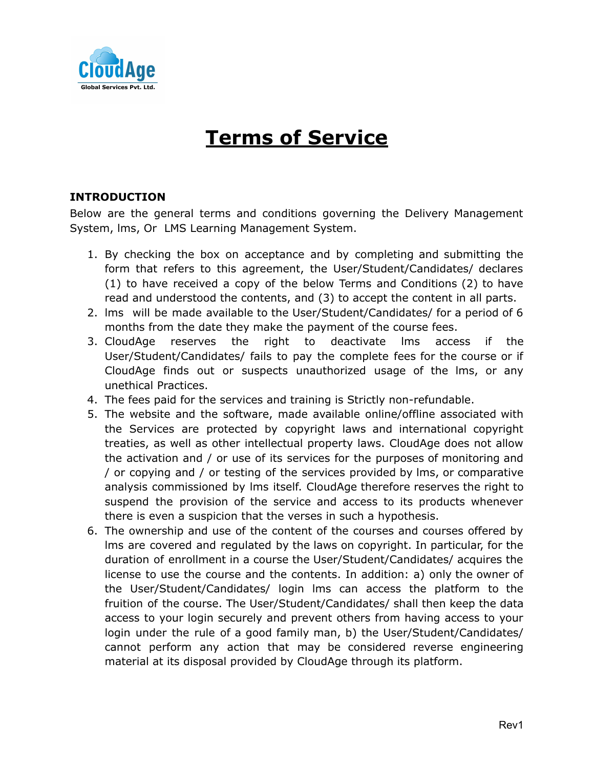

# **Terms of Service**

## **INTRODUCTION**

Below are the general terms and conditions governing the Delivery Management System, lms, Or LMS Learning Management System.

- 1. By checking the box on acceptance and by completing and submitting the form that refers to this agreement, the User/Student/Candidates/ declares (1) to have received a copy of the below Terms and Conditions (2) to have read and understood the contents, and (3) to accept the content in all parts.
- 2. lms will be made available to the User/Student/Candidates/ for a period of 6 months from the date they make the payment of the course fees.
- 3. CloudAge reserves the right to deactivate lms access if the User/Student/Candidates/ fails to pay the complete fees for the course or if CloudAge finds out or suspects unauthorized usage of the lms, or any unethical Practices.
- 4. The fees paid for the services and training is Strictly non-refundable.
- 5. The website and the software, made available online/offline associated with the Services are protected by copyright laws and international copyright treaties, as well as other intellectual property laws. CloudAge does not allow the activation and / or use of its services for the purposes of monitoring and / or copying and / or testing of the services provided by lms, or comparative analysis commissioned by lms itself. CloudAge therefore reserves the right to suspend the provision of the service and access to its products whenever there is even a suspicion that the verses in such a hypothesis.
- 6. The ownership and use of the content of the courses and courses offered by lms are covered and regulated by the laws on copyright. In particular, for the duration of enrollment in a course the User/Student/Candidates/ acquires the license to use the course and the contents. In addition: a) only the owner of the User/Student/Candidates/ login lms can access the platform to the fruition of the course. The User/Student/Candidates/ shall then keep the data access to your login securely and prevent others from having access to your login under the rule of a good family man, b) the User/Student/Candidates/ cannot perform any action that may be considered reverse engineering material at its disposal provided by CloudAge through its platform.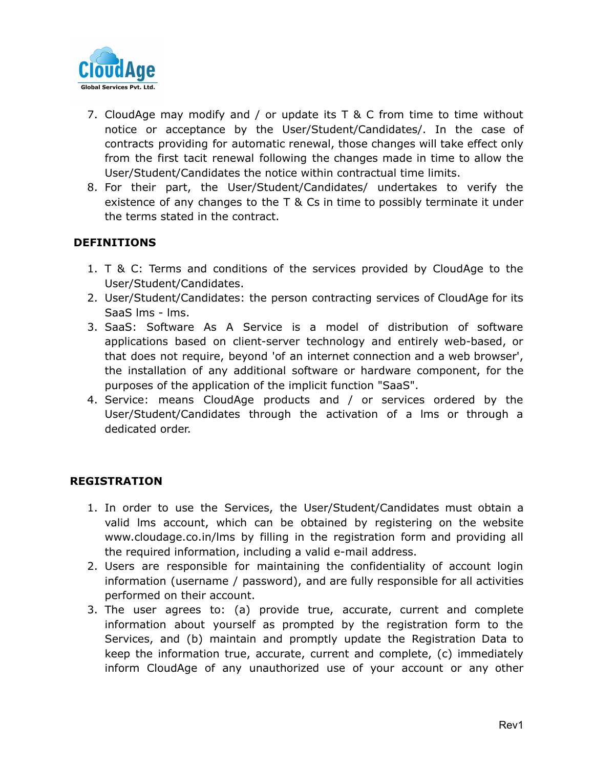

- 7. CloudAge may modify and / or update its T & C from time to time without notice or acceptance by the User/Student/Candidates/. In the case of contracts providing for automatic renewal, those changes will take effect only from the first tacit renewal following the changes made in time to allow the User/Student/Candidates the notice within contractual time limits.
- 8. For their part, the User/Student/Candidates/ undertakes to verify the existence of any changes to the T & Cs in time to possibly terminate it under the terms stated in the contract.

## **DEFINITIONS**

- 1. T & C: Terms and conditions of the services provided by CloudAge to the User/Student/Candidates.
- 2. User/Student/Candidates: the person contracting services of CloudAge for its SaaS lms - lms.
- 3. SaaS: Software As A Service is a model of distribution of software applications based on client-server technology and entirely web-based, or that does not require, beyond 'of an internet connection and a web browser', the installation of any additional software or hardware component, for the purposes of the application of the implicit function "SaaS".
- 4. Service: means CloudAge products and / or services ordered by the User/Student/Candidates through the activation of a lms or through a dedicated order.

#### **REGISTRATION**

- 1. In order to use the Services, the User/Student/Candidates must obtain a valid lms account, which can be obtained by registering on the website www.cloudage.co.in/lms by filling in the registration form and providing all the required information, including a valid e-mail address.
- 2. Users are responsible for maintaining the confidentiality of account login information (username / password), and are fully responsible for all activities performed on their account.
- 3. The user agrees to: (a) provide true, accurate, current and complete information about yourself as prompted by the registration form to the Services, and (b) maintain and promptly update the Registration Data to keep the information true, accurate, current and complete, (c) immediately inform CloudAge of any unauthorized use of your account or any other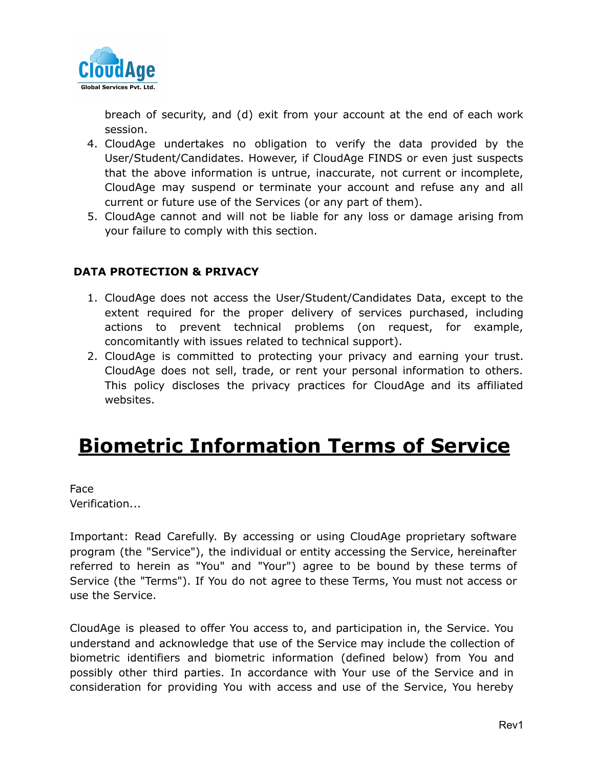

breach of security, and (d) exit from your account at the end of each work session.

- 4. CloudAge undertakes no obligation to verify the data provided by the User/Student/Candidates. However, if CloudAge FINDS or even just suspects that the above information is untrue, inaccurate, not current or incomplete, CloudAge may suspend or terminate your account and refuse any and all current or future use of the Services (or any part of them).
- 5. CloudAge cannot and will not be liable for any loss or damage arising from your failure to comply with this section.

## **DATA PROTECTION & PRIVACY**

- 1. CloudAge does not access the User/Student/Candidates Data, except to the extent required for the proper delivery of services purchased, including actions to prevent technical problems (on request, for example, concomitantly with issues related to technical support).
- 2. CloudAge is committed to protecting your privacy and earning your trust. CloudAge does not sell, trade, or rent your personal information to others. This policy discloses the privacy practices for CloudAge and its affiliated websites.

## **Biometric Information Terms of Service**

Face Verification...

Important: Read Carefully. By accessing or using CloudAge proprietary software program (the "Service"), the individual or entity accessing the Service, hereinafter referred to herein as "You" and "Your") agree to be bound by these terms of Service (the "Terms"). If You do not agree to these Terms, You must not access or use the Service.

CloudAge is pleased to offer You access to, and participation in, the Service. You understand and acknowledge that use of the Service may include the collection of biometric identifiers and biometric information (defined below) from You and possibly other third parties. In accordance with Your use of the Service and in consideration for providing You with access and use of the Service, You hereby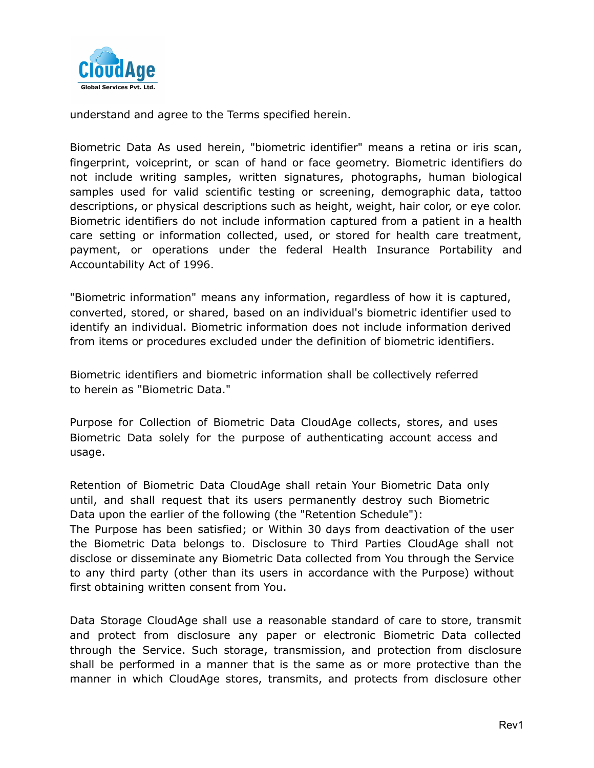

understand and agree to the Terms specified herein.

Biometric Data As used herein, "biometric identifier" means a retina or iris scan, fingerprint, voiceprint, or scan of hand or face geometry. Biometric identifiers do not include writing samples, written signatures, photographs, human biological samples used for valid scientific testing or screening, demographic data, tattoo descriptions, or physical descriptions such as height, weight, hair color, or eye color. Biometric identifiers do not include information captured from a patient in a health care setting or information collected, used, or stored for health care treatment, payment, or operations under the federal Health Insurance Portability and Accountability Act of 1996.

"Biometric information" means any information, regardless of how it is captured, converted, stored, or shared, based on an individual's biometric identifier used to identify an individual. Biometric information does not include information derived from items or procedures excluded under the definition of biometric identifiers.

Biometric identifiers and biometric information shall be collectively referred to herein as "Biometric Data."

Purpose for Collection of Biometric Data CloudAge collects, stores, and uses Biometric Data solely for the purpose of authenticating account access and usage.

Retention of Biometric Data CloudAge shall retain Your Biometric Data only until, and shall request that its users permanently destroy such Biometric Data upon the earlier of the following (the "Retention Schedule"):

The Purpose has been satisfied; or Within 30 days from deactivation of the user the Biometric Data belongs to. Disclosure to Third Parties CloudAge shall not disclose or disseminate any Biometric Data collected from You through the Service to any third party (other than its users in accordance with the Purpose) without first obtaining written consent from You.

Data Storage CloudAge shall use a reasonable standard of care to store, transmit and protect from disclosure any paper or electronic Biometric Data collected through the Service. Such storage, transmission, and protection from disclosure shall be performed in a manner that is the same as or more protective than the manner in which CloudAge stores, transmits, and protects from disclosure other